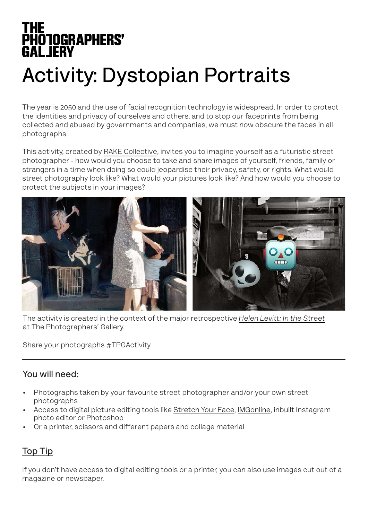# **THE<br>PHOTOGRAPHERS'<br>GALJERY**

# **Activity: Dystopian Portraits**

The year is 2050 and the use of facial recognition technology is widespread. In order to protect the identities and privacy of ourselves and others, and to stop our faceprints from being collected and abused by governments and companies, we must now obscure the faces in all photographs.

This activity, created by [RAKE Collective](https://www.rakecollective.com/), invites you to imagine yourself as a futuristic street photographer - how would you choose to take and share images of yourself, friends, family or strangers in a time when doing so could jeopardise their privacy, safety, or rights. What would street photography look like? What would your pictures look like? And how would you choose to protect the subjects in your images?



The activity is created in the context of the major retrospective *[Helen Levitt: In the Street](https://thephotographersgallery.org.uk/whats-on/helen-levitt-retrospective)* at The Photographers' Gallery.

Share your photographs #TPGActivity

#### **You will need:**

- Photographs taken by your favourite street photographer and/or your own street photographs
- Access to digital picture editing tools like [Stretch Your Face](http://www.stretchyourface.com), [IMGonline,](https://www.imgonline.com.ua/eng/picture-distortion.php) inbuilt Instagram photo editor or Photoshop
- Or a printer, scissors and different papers and collage material

#### **Top Tip**

If you don't have access to digital editing tools or a printer, you can also use images cut out of a magazine or newspaper.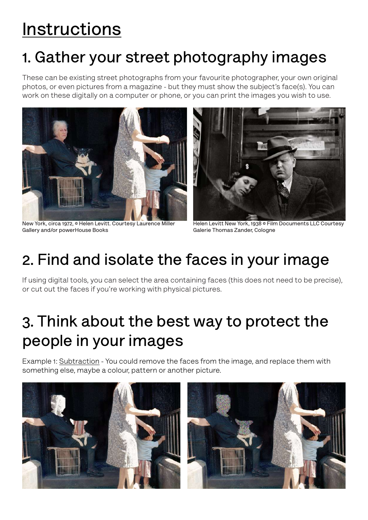# **Instructions**

# **1. Gather your street photography images**

These can be existing street photographs from your favourite photographer, your own original photos, or even pictures from a magazine - but they must show the subject's face(s). You can work on these digitally on a computer or phone, or you can print the images you wish to use.



**New York, circa 1972, © Helen Levitt. Courtesy Laurence Miller Gallery and/or powerHouse Books**



**Helen Levitt New York, 1938 © Film Documents LLC Courtesy Galerie Thomas Zander, Cologne**

## **2. Find and isolate the faces in your image**

If using digital tools, you can select the area containing faces (this does not need to be precise), or cut out the faces if you're working with physical pictures.

# **3. Think about the best way to protect the people in your images**

Example 1: Subtraction - You could remove the faces from the image, and replace them with something else, maybe a colour, pattern or another picture.